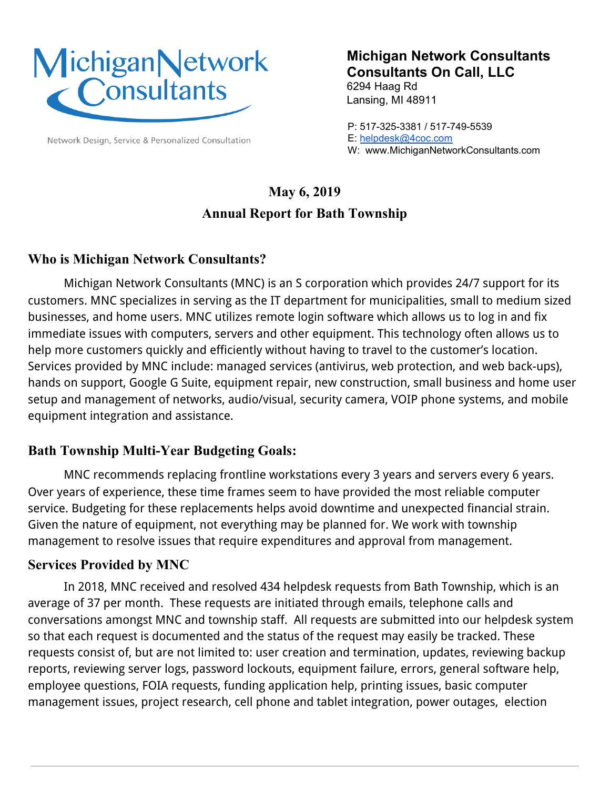

Network Design, Service & Personalized Consultation

## **Michigan Network Consultants Consultants On Call, LLC**

6294 Haag Rd Lansing, MI 48911

P: 517-325-3381 / 517-749-5539 E: [helpdesk@4coc.com](mailto:helpdesk@4coc.com) W: www.MichiganNetworkConsultants.com

# **May 6, 2019 Annual Report for Bath Township**

### **Who is Michigan Network Consultants?**

Michigan Network Consultants (MNC) is an S corporation which provides 24/7 support for its customers. MNC specializes in serving as the IT department for municipalities, small to medium sized businesses, and home users. MNC utilizes remote login software which allows us to log in and fix immediate issues with computers, servers and other equipment. This technology often allows us to help more customers quickly and efficiently without having to travel to the customer's location. Services provided by MNC include: managed services (antivirus, web protection, and web back-ups), hands on support, Google G Suite, equipment repair, new construction, small business and home user setup and management of networks, audio/visual, security camera, VOIP phone systems, and mobile equipment integration and assistance.

#### **Bath Township Multi-Year Budgeting Goals:**

MNC recommends replacing frontline workstations every 3 years and servers every 6 years. Over years of experience, these time frames seem to have provided the most reliable computer service. Budgeting for these replacements helps avoid downtime and unexpected financial strain. Given the nature of equipment, not everything may be planned for. We work with township management to resolve issues that require expenditures and approval from management.

#### **Services Provided by MNC**

In 2018, MNC received and resolved 434 helpdesk requests from Bath Township, which is an average of 37 per month. These requests are initiated through emails, telephone calls and conversations amongst MNC and township staff. All requests are submitted into our helpdesk system so that each request is documented and the status of the request may easily be tracked. These requests consist of, but are not limited to: user creation and termination, updates, reviewing backup reports, reviewing server logs, password lockouts, equipment failure, errors, general software help, employee questions, FOIA requests, funding application help, printing issues, basic computer management issues, project research, cell phone and tablet integration, power outages, election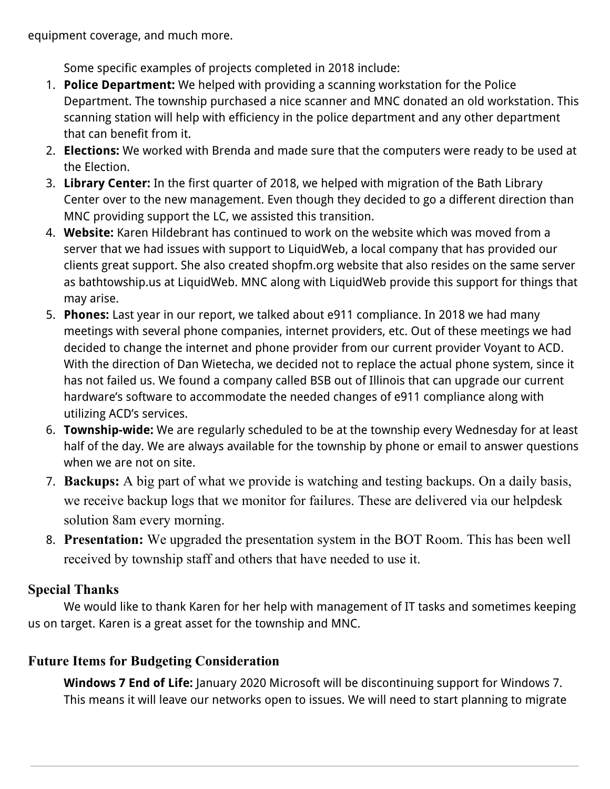equipment coverage, and much more.

Some specific examples of projects completed in 2018 include:

- 1. **Police Department:** We helped with providing a scanning workstation for the Police Department. The township purchased a nice scanner and MNC donated an old workstation. This scanning station will help with efficiency in the police department and any other department that can benefit from it.
- 2. **Elections:** We worked with Brenda and made sure that the computers were ready to be used at the Election.
- 3. **Library Center:** In the first quarter of 2018, we helped with migration of the Bath Library Center over to the new management. Even though they decided to go a different direction than MNC providing support the LC, we assisted this transition.
- 4. **Website:** Karen Hildebrant has continued to work on the website which was moved from a server that we had issues with support to LiquidWeb, a local company that has provided our clients great support. She also created shopfm.org website that also resides on the same server as bathtowship.us at LiquidWeb. MNC along with LiquidWeb provide this support for things that may arise.
- 5. **Phones:** Last year in our report, we talked about e911 compliance. In 2018 we had many meetings with several phone companies, internet providers, etc. Out of these meetings we had decided to change the internet and phone provider from our current provider Voyant to ACD. With the direction of Dan Wietecha, we decided not to replace the actual phone system, since it has not failed us. We found a company called BSB out of Illinois that can upgrade our current hardware's software to accommodate the needed changes of e911 compliance along with utilizing ACD's services.
- 6. **Township-wide:** We are regularly scheduled to be at the township every Wednesday for at least half of the day. We are always available for the township by phone or email to answer questions when we are not on site.
- 7. **Backups:** A big part of what we provide is watching and testing backups. On a daily basis, we receive backup logs that we monitor for failures. These are delivered via our helpdesk solution 8am every morning.
- 8. **Presentation:** We upgraded the presentation system in the BOT Room. This has been well received by township staff and others that have needed to use it.

### **Special Thanks**

We would like to thank Karen for her help with management of IT tasks and sometimes keeping us on target. Karen is a great asset for the township and MNC.

## **Future Items for Budgeting Consideration**

**Windows 7 End of Life:** January 2020 Microsoft will be discontinuing support for Windows 7. This means it will leave our networks open to issues. We will need to start planning to migrate